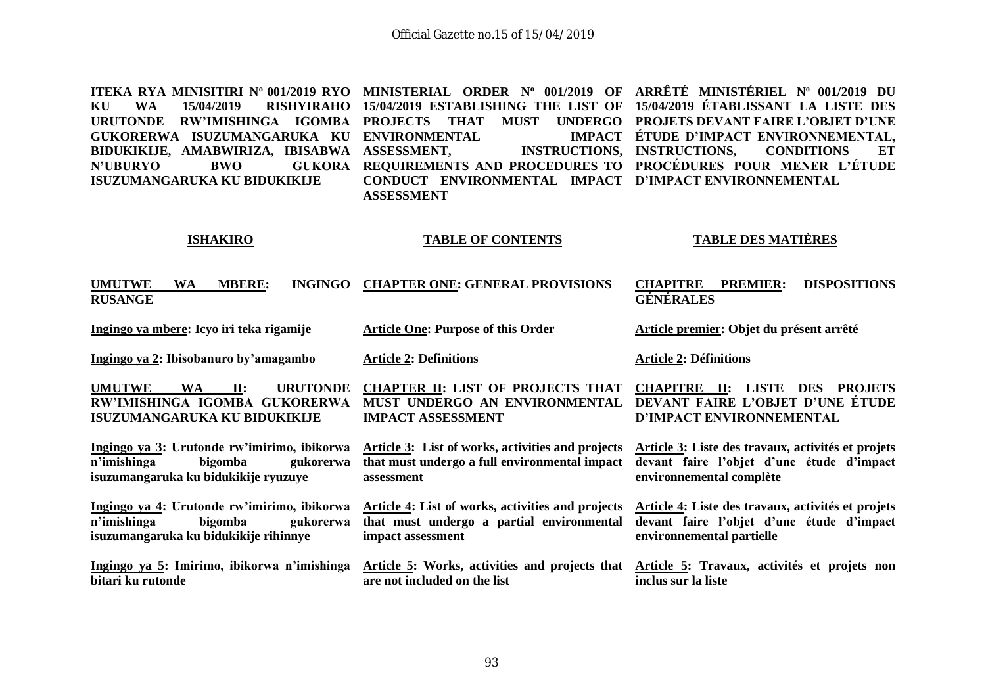**ITEKA RYA MINISITIRI N<sup>o</sup> 001/2019 RYO MINISTERIAL ORDER N<sup>o</sup> 001/2019 OF ARRÊTÉ MINISTÉRIEL N<sup>o</sup> 001/2019 DU KU WA 15/04/2019 RISHYIRAHO 15/04/2019 ESTABLISHING THE LIST OF 15/04/2019 ÉTABLISSANT LA LISTE DES URUTONDE RW'IMISHINGA IGOMBA PROJECTS THAT MUST UNDERGO PROJETS DEVANT FAIRE L'OBJET D'UNE GUKORERWA ISUZUMANGARUKA KU ENVIRONMENTAL IMPACT BIDUKIKIJE, AMABWIRIZA, IBISABWA N'UBURYO BWO ISUZUMANGARUKA KU BIDUKIKIJE ASSESSMENT, INSTRUCTIONS, INSTRUCTIONS, CONDITIONS ET REQUIREMENTS AND PROCEDURES TO PROCÉDURES POUR MENER L'ÉTUDE CONDUCT ENVIRONMENTAL IMPACT D'IMPACT ENVIRONNEMENTAL ASSESSMENT ÉTUDE D'IMPACT ENVIRONNEMENTAL,** 

#### **ISHAKIRO**

#### **TABLE OF CONTENTS**

#### **TABLE DES MATIÈRES**

| <b>UMUTWE</b><br><b>INGINGO</b><br>WA<br><b>MBERE:</b><br><b>RUSANGE</b>                                                           | <b>CHAPTER ONE: GENERAL PROVISIONS</b>                                                                                  | <b>DISPOSITIONS</b><br><b>CHAPITRE</b><br><b>PREMIER:</b><br><b>GÉNÉRALES</b>                                                  |
|------------------------------------------------------------------------------------------------------------------------------------|-------------------------------------------------------------------------------------------------------------------------|--------------------------------------------------------------------------------------------------------------------------------|
| Ingingo ya mbere: Icyo iri teka rigamije                                                                                           | <b>Article One: Purpose of this Order</b>                                                                               | Article premier: Objet du présent arrêté                                                                                       |
| Ingingo ya 2: Ibisobanuro by'amagambo                                                                                              | <b>Article 2: Definitions</b>                                                                                           | <b>Article 2: Définitions</b>                                                                                                  |
| <b>UMUTWE</b><br><b>URUTONDE</b><br>$\mathbf{II}$ :<br>WA.<br>RW'IMISHINGA IGOMBA GUKORERWA<br><b>ISUZUMANGARUKA KU BIDUKIKIJE</b> | <b>CHAPTER II: LIST OF PROJECTS THAT</b><br>MUST UNDERGO AN ENVIRONMENTAL<br><b>IMPACT ASSESSMENT</b>                   | LISTE<br><b>DES</b><br><b>CHAPITRE</b><br>И:<br><b>PROJETS</b><br>DEVANT FAIRE L'OBJET D'UNE ÉTUDE<br>D'IMPACT ENVIRONNEMENTAL |
| Ingingo ya 3: Urutonde rw'imirimo, ibikorwa<br>n'imishinga<br>bigomba<br>gukorerwa<br>isuzumangaruka ku bidukikije ryuzuye         | <b>Article 3:</b> List of works, activities and projects<br>that must undergo a full environmental impact<br>assessment | Article 3: Liste des travaux, activités et projets<br>devant faire l'objet d'une étude d'impact<br>environnemental complète    |
| Ingingo ya 4: Urutonde rw'imirimo, ibikorwa<br>n'imishinga<br>bigomba<br>gukorerwa<br>isuzumangaruka ku bidukikije rihinnye        | Article 4: List of works, activities and projects<br>that must undergo a partial environmental<br>impact assessment     | Article 4: Liste des travaux, activités et projets<br>devant faire l'objet d'une étude d'impact<br>environnemental partielle   |
| Ingingo ya 5: Imirimo, ibikorwa n'imishinga<br>bitari ku rutonde                                                                   | Article 5: Works, activities and projects that<br>are not included on the list                                          | Article 5: Travaux, activités et projets non<br>inclus sur la liste                                                            |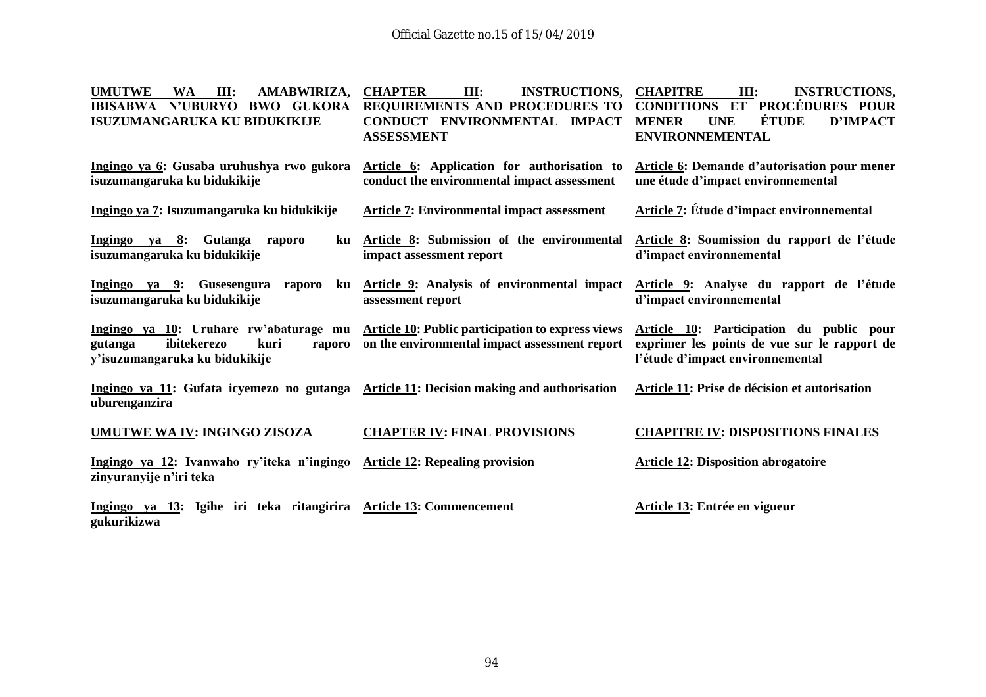| <b>UMUTWE</b><br>Ш:<br>AMABWIRIZA,<br><b>WA</b><br><b>IBISABWA N'UBURYO</b><br><b>BWO GUKORA</b><br><b>ISUZUMANGARUKA KU BIDUKIKIJE</b> | <b>CHAPTER</b><br>III:<br><b>INSTRUCTIONS,</b><br>REQUIREMENTS AND PROCEDURES TO<br>CONDUCT ENVIRONMENTAL IMPACT<br><b>ASSESSMENT</b>     | <b>CHAPITRE</b><br><b>INSTRUCTIONS,</b><br>III:<br>ET PROCÉDURES POUR<br><b>CONDITIONS</b><br>ÉTUDE<br><b>MENER</b><br><b>UNE</b><br><b>D'IMPACT</b><br><b>ENVIRONNEMENTAL</b> |
|-----------------------------------------------------------------------------------------------------------------------------------------|-------------------------------------------------------------------------------------------------------------------------------------------|--------------------------------------------------------------------------------------------------------------------------------------------------------------------------------|
| Ingingo ya 6: Gusaba uruhushya rwo gukora<br>isuzumangaruka ku bidukikije                                                               | Article 6: Application for authorisation to<br>conduct the environmental impact assessment                                                | <b>Article 6: Demande d'autorisation pour mener</b><br>une étude d'impact environnemental                                                                                      |
| Ingingo ya 7: Isuzumangaruka ku bidukikije                                                                                              | <b>Article 7: Environmental impact assessment</b>                                                                                         | <b>Article 7: Étude d'impact environnemental</b>                                                                                                                               |
| Ingingo ya 8: Gutanga<br>raporo<br>ku<br>isuzumangaruka ku bidukikije                                                                   | Article 8: Submission of the environmental<br>impact assessment report                                                                    | Article 8: Soumission du rapport de l'étude<br>d'impact environnemental                                                                                                        |
| Ingingo ya 9: Gusesengura<br>raporo<br>ku<br>isuzumangaruka ku bidukikije                                                               | Article 9: Analysis of environmental impact<br>assessment report                                                                          | Article 9: Analyse du rapport de l'étude<br>d'impact environnemental                                                                                                           |
| ibitekerezo<br>kuri<br>gutanga<br>raporo<br>y'isuzumangaruka ku bidukikije                                                              | Ingingo ya 10: Uruhare rw'abaturage mu Article 10: Public participation to express views<br>on the environmental impact assessment report | Article 10: Participation du public pour<br>exprimer les points de vue sur le rapport de<br>l'étude d'impact environnemental                                                   |
| Ingingo ya 11: Gufata icyemezo no gutanga Article 11: Decision making and authorisation<br>uburenganzira                                |                                                                                                                                           | Article 11: Prise de décision et autorisation                                                                                                                                  |
| UMUTWE WA IV: INGINGO ZISOZA                                                                                                            | <b>CHAPTER IV: FINAL PROVISIONS</b>                                                                                                       | <b>CHAPITRE IV: DISPOSITIONS FINALES</b>                                                                                                                                       |
| Ingingo ya 12: Ivanwaho ry'iteka n'ingingo<br>zinyuranyije n'iri teka                                                                   | <b>Article 12: Repealing provision</b>                                                                                                    | <b>Article 12: Disposition abrogatoire</b>                                                                                                                                     |
| Ingingo ya 13: Igihe iri teka ritangirira Article 13: Commencement<br>gukurikizwa                                                       |                                                                                                                                           | Article 13: Entrée en vigueur                                                                                                                                                  |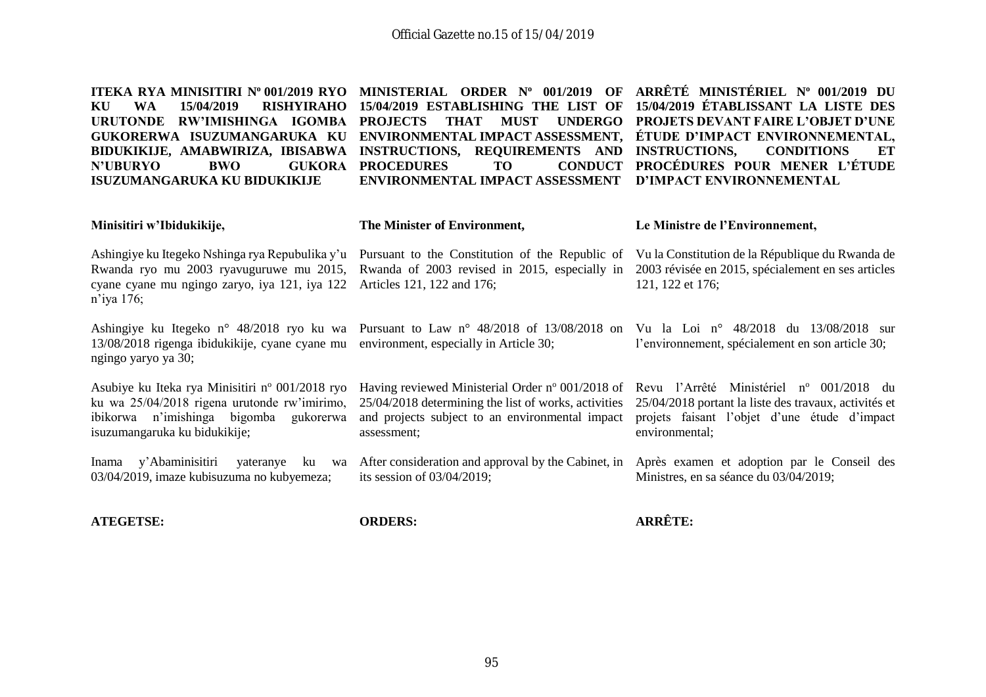| ITEKA RYA MINISITIRI Nº 001/2019 RYO<br><b>WA</b><br>15/04/2019<br><b>RISHYIRAHO</b><br>KU<br><b>URUTONDE</b><br>RW'IMISHINGA IGOMBA<br>GUKORERWA ISUZUMANGARUKA KU<br>BIDUKIKIJE, AMABWIRIZA, IBISABWA<br><b>BWO</b><br><b>GUKORA</b><br><b>N'UBURYO</b><br><b>ISUZUMANGARUKA KU BIDUKIKIJE</b> | MINISTERIAL ORDER Nº 001/2019<br>OF<br>15/04/2019 ESTABLISHING THE LIST OF<br><b>PROJECTS</b><br><b>THAT</b><br><b>UNDERGO</b><br><b>MUST</b><br>ENVIRONMENTAL IMPACT ASSESSMENT,<br>INSTRUCTIONS, REQUIREMENTS AND<br><b>CONDUCT</b><br><b>PROCEDURES</b><br><b>TO</b><br><b>ENVIRONMENTAL IMPACT ASSESSMENT</b> | ARRÊTÉ MINISTÉRIEL Nº 001/2019 DU<br>15/04/2019 ÉTABLISSANT LA LISTE DES<br><b>PROJETS DEVANT FAIRE L'OBJET D'UNE</b><br>ÉTUDE D'IMPACT ENVIRONNEMENTAL,<br><b>INSTRUCTIONS,</b><br><b>CONDITIONS</b><br>ET<br>PROCÉDURES POUR MENER L'ÉTUDE<br>D'IMPACT ENVIRONNEMENTAL |
|--------------------------------------------------------------------------------------------------------------------------------------------------------------------------------------------------------------------------------------------------------------------------------------------------|-------------------------------------------------------------------------------------------------------------------------------------------------------------------------------------------------------------------------------------------------------------------------------------------------------------------|--------------------------------------------------------------------------------------------------------------------------------------------------------------------------------------------------------------------------------------------------------------------------|
| Minisitiri w'Ibidukikije,                                                                                                                                                                                                                                                                        | The Minister of Environment,                                                                                                                                                                                                                                                                                      | Le Ministre de l'Environnement,                                                                                                                                                                                                                                          |
| Ashingiye ku Itegeko Nshinga rya Repubulika y'u<br>Rwanda ryo mu 2003 ryavuguruwe mu 2015,<br>cyane cyane mu ngingo zaryo, iya 121, iya 122<br>$n$ 'iya 176;                                                                                                                                     | Pursuant to the Constitution of the Republic of<br>Rwanda of 2003 revised in 2015, especially in<br>Articles 121, 122 and 176;                                                                                                                                                                                    | Vu la Constitution de la République du Rwanda de<br>2003 révisée en 2015, spécialement en ses articles<br>121, 122 et 176;                                                                                                                                               |
| Ashingiye ku Itegeko n° 48/2018 ryo ku wa<br>13/08/2018 rigenga ibidukikije, cyane cyane mu<br>ngingo yaryo ya 30;                                                                                                                                                                               | Pursuant to Law $n^{\circ}$ 48/2018 of 13/08/2018 on<br>environment, especially in Article 30;                                                                                                                                                                                                                    | Vu la Loi nº 48/2018 du 13/08/2018 sur<br>l'environnement, spécialement en son article 30;                                                                                                                                                                               |
| Asubiye ku Iteka rya Minisitiri nº 001/2018 ryo<br>ku wa 25/04/2018 rigena urutonde rw'imirimo,<br>ibikorwa n'imishinga bigomba<br>gukorerwa<br>isuzumangaruka ku bidukikije;                                                                                                                    | Having reviewed Ministerial Order nº 001/2018 of<br>25/04/2018 determining the list of works, activities<br>and projects subject to an environmental impact<br>assessment;                                                                                                                                        | Revu l'Arrêté Ministériel nº 001/2018 du<br>25/04/2018 portant la liste des travaux, activités et<br>projets faisant l'objet d'une étude d'impact<br>environmental;                                                                                                      |
| y'Abaminisitiri<br>yateranye<br>Inama<br>ku<br>wa<br>03/04/2019, imaze kubisuzuma no kubyemeza;                                                                                                                                                                                                  | After consideration and approval by the Cabinet, in<br>its session of $03/04/2019$ ;                                                                                                                                                                                                                              | Après examen et adoption par le Conseil des<br>Ministres, en sa séance du 03/04/2019;                                                                                                                                                                                    |
| <b>ATEGETSE:</b>                                                                                                                                                                                                                                                                                 | <b>ORDERS:</b>                                                                                                                                                                                                                                                                                                    | <b>ARRÊTE:</b>                                                                                                                                                                                                                                                           |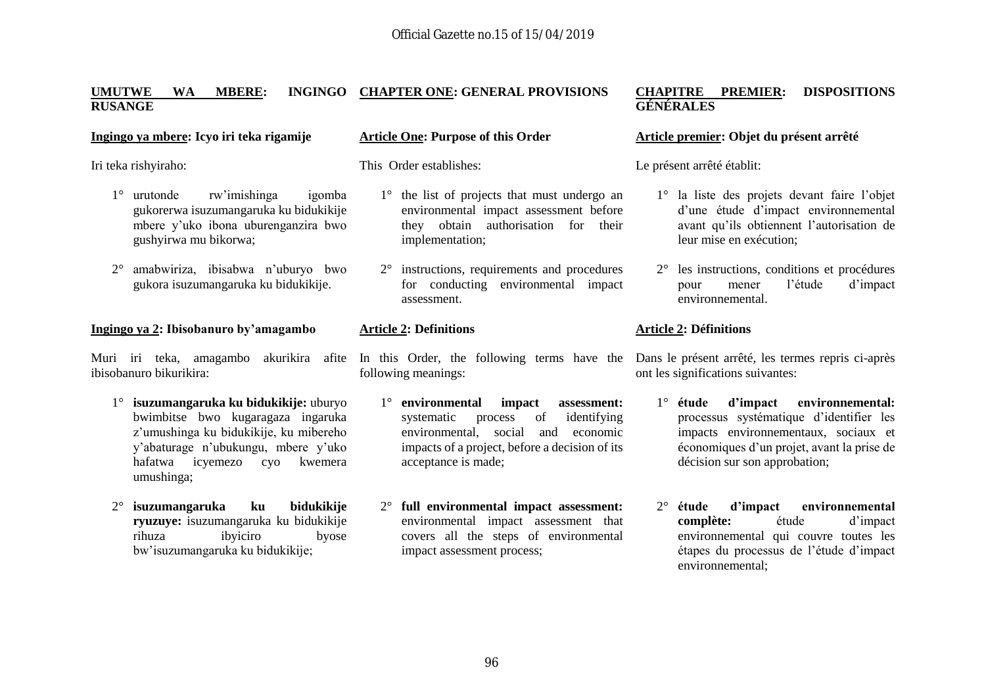#### **UMUTWE WA MBERE: INGINGO CHAPTER ONE: GENERAL PROVISIONS RUSANGE**

#### **Ingingo ya mbere: Icyo iri teka rigamije**

Iri teka rishyiraho:

- 1° urutonde rw'imishinga igomba gukorerwa isuzumangaruka ku bidukikije mbere y'uko ibona uburenganzira bwo gushyirwa mu bikorwa;
- 2° amabwiriza, ibisabwa n'uburyo bwo gukora isuzumangaruka ku bidukikije.

#### **Ingingo ya 2: Ibisobanuro by'amagambo**

ibisobanuro bikurikira:

- 1° **isuzumangaruka ku bidukikije:** uburyo bwimbitse bwo kugaragaza ingaruka z'umushinga ku bidukikije, ku mibereho y'abaturage n'ubukungu, mbere y'uko hafatwa icyemezo cyo kwemera umushinga;
- 2° **isuzumangaruka ku bidukikije ryuzuye:** isuzumangaruka ku bidukikije rihuza ibyiciro byose bw'isuzumangaruka ku bidukikije;

#### **Article One: Purpose of this Order**

This Order establishes:

- 1° the list of projects that must undergo an environmental impact assessment before they obtain authorisation for their implementation;
- 2° instructions, requirements and procedures for conducting environmental impact assessment.

#### **Article 2: Definitions**

following meanings:

- 1° **environmental impact assessment:** systematic process of identifying environmental, social and economic impacts of a project, before a decision of its acceptance is made;
- 2° **full environmental impact assessment:**  environmental impact assessment that covers all the steps of environmental impact assessment process;

#### **CHAPITRE PREMIER: DISPOSITIONS GÉNÉRALES**

#### **Article premier: Objet du présent arrêté**

Le présent arrêté établit:

- 1° la liste des projets devant faire l'objet d'une étude d'impact environnemental avant qu'ils obtiennent l'autorisation de leur mise en exécution;
- 2° les instructions, conditions et procédures pour mener l'étude d'impact environnemental.

#### **Article 2: Définitions**

Muri iri teka, amagambo akurikira afite In this Order, the following terms have the Dans le présent arrêté, les termes repris ci-après ont les significations suivantes:

- 1° **étude d'impact environnemental:**  processus systématique d'identifier les impacts environnementaux, sociaux et économiques d'un projet, avant la prise de décision sur son approbation;
- 2° **étude d'impact environnemental complète:** étude d'impact environnemental qui couvre toutes les étapes du processus de l'étude d'impact environnemental;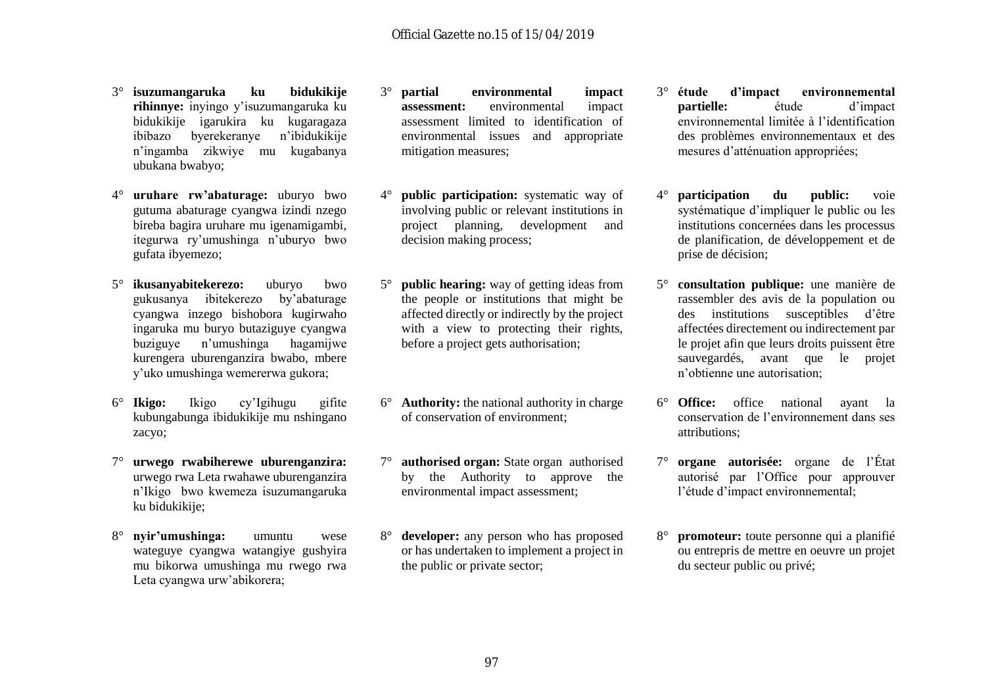- 3° **isuzumangaruka ku bidukikije rihinnye:** inyingo y'isuzumangaruka ku bidukikije igarukira ku kugaragaza ibibazo byerekeranye n'ibidukikije n'ingamba zikwiye mu kugabanya ubukana bwabyo;
- 4° **uruhare rw'abaturage:** uburyo bwo gutuma abaturage cyangwa izindi nzego bireba bagira uruhare mu igenamigambi, itegurwa ry'umushinga n'uburyo bwo gufata ibyemezo;
- 5° **ikusanyabitekerezo:** uburyo bwo gukusanya ibitekerezo by'abaturage cyangwa inzego bishobora kugirwaho ingaruka mu buryo butaziguye cyangwa buziguye n'umushinga hagamijwe kurengera uburenganzira bwabo, mbere y'uko umushinga wemererwa gukora;
- 6° **Ikigo:** Ikigo cy'Igihugu gifite kubungabunga ibidukikije mu nshingano zacyo;
- 7° **urwego rwabiherewe uburenganzira:** urwego rwa Leta rwahawe uburenganzira n'Ikigo bwo kwemeza isuzumangaruka ku bidukikije;
- 8° **nyir'umushinga:** umuntu wese wateguye cyangwa watangiye gushyira mu bikorwa umushinga mu rwego rwa Leta cyangwa urw'abikorera;
- 3° **partial environmental impact assessment:** environmental impact assessment limited to identification of environmental issues and appropriate mitigation measures;
- 4° **public participation:** systematic way of involving public or relevant institutions in project planning, development and decision making process;
- 5° **public hearing:** way of getting ideas from the people or institutions that might be affected directly or indirectly by the project with a view to protecting their rights, before a project gets authorisation;
- 6° **Authority:** the national authority in charge of conservation of environment;
- 7° **authorised organ:** State organ authorised by the Authority to approve the environmental impact assessment;
- 8° **developer:** any person who has proposed or has undertaken to implement a project in the public or private sector;
- 3° **étude d'impact environnemental partielle:** étude d'impact environnemental limitée à l'identification des problèmes environnementaux et des mesures d'atténuation appropriées;
- 4° **participation du public:** voie systématique d'impliquer le public ou les institutions concernées dans les processus de planification, de développement et de prise de décision;
- 5° **consultation publique:** une manière de rassembler des avis de la population ou des institutions susceptibles d'être affectées directement ou indirectement par le projet afin que leurs droits puissent être sauvegardés, avant que le projet n'obtienne une autorisation;
- 6° **Office:** office national ayant la conservation de l'environnement dans ses attributions;
- 7° **organe autorisée:** organe de l'État autorisé par l'Office pour approuver l'étude d'impact environnemental;
- 8° **promoteur:** toute personne qui a planifié ou entrepris de mettre en oeuvre un projet du secteur public ou privé;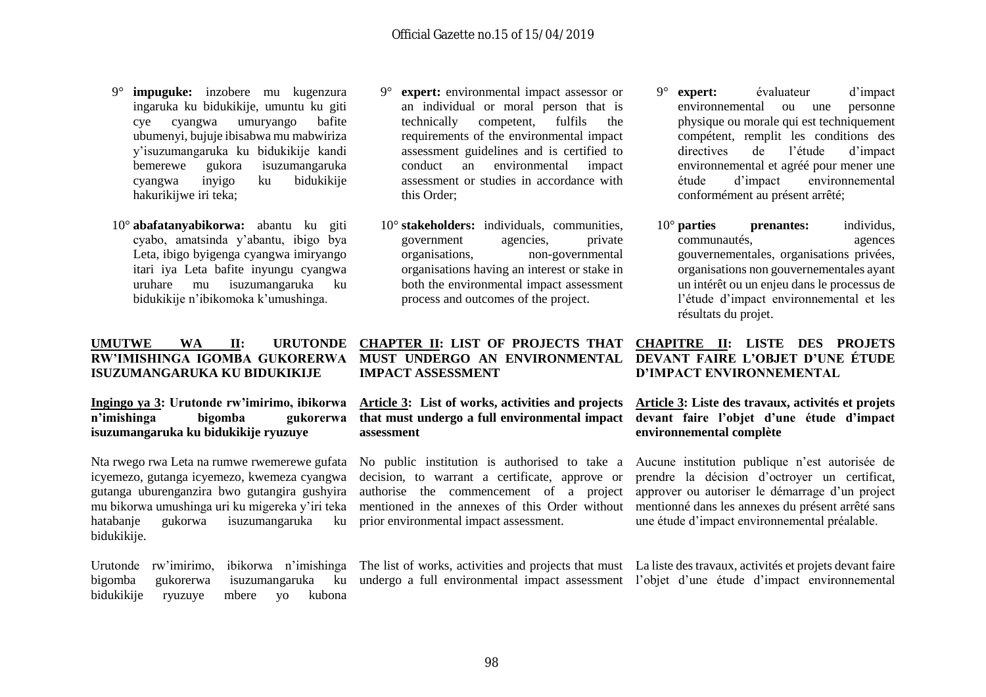- 9° **impuguke:** inzobere mu kugenzura ingaruka ku bidukikije, umuntu ku giti cye cyangwa umuryango bafite ubumenyi, bujuje ibisabwa mu mabwiriza y'isuzumangaruka ku bidukikije kandi bemerewe gukora isuzumangaruka cyangwa inyigo ku bidukikije hakurikijwe iri teka;
- 10° **abafatanyabikorwa:** abantu ku giti cyabo, amatsinda y'abantu, ibigo bya Leta, ibigo byigenga cyangwa imiryango itari iya Leta bafite inyungu cyangwa uruhare mu isuzumangaruka ku bidukikije n'ibikomoka k'umushinga.

#### **UMUTWE WA II: URUTONDE RW'IMISHINGA IGOMBA GUKORERWA ISUZUMANGARUKA KU BIDUKIKIJE**

**Ingingo ya 3: Urutonde rw'imirimo, ibikorwa n'imishinga bigomba gukorerwa isuzumangaruka ku bidukikije ryuzuye**

Nta rwego rwa Leta na rumwe rwemerewe gufata icyemezo, gutanga icyemezo, kwemeza cyangwa gutanga uburenganzira bwo gutangira gushyira mu bikorwa umushinga uri ku migereka y'iri teka hatabanje gukorwa isuzumangaruka ku bidukikije.

bidukikije ryuzuye mbere yo kubona

- 9° **expert:** environmental impact assessor or an individual or moral person that is technically competent, fulfils the requirements of the environmental impact assessment guidelines and is certified to conduct an environmental impact assessment or studies in accordance with this Order;
- 10° **stakeholders:** individuals, communities, government agencies, private organisations, non-governmental organisations having an interest or stake in both the environmental impact assessment process and outcomes of the project.
- 9° **expert:** évaluateur d'impact environnemental ou une personne physique ou morale qui est techniquement compétent, remplit les conditions des directives de l'étude d'impact environnemental et agréé pour mener une étude d'impact environnemental conformément au présent arrêté;
- 10° **parties prenantes:** individus, communautés, agences gouvernementales, organisations privées, organisations non gouvernementales ayant un intérêt ou un enjeu dans le processus de l'étude d'impact environnemental et les résultats du projet.

#### **CHAPTER II: LIST OF PROJECTS THAT MUST UNDERGO AN ENVIRONMENTAL IMPACT ASSESSMENT**

**Article 3: List of works, activities and projects that must undergo a full environmental impact assessment**

No public institution is authorised to take a decision, to warrant a certificate, approve or authorise the commencement of a project mentioned in the annexes of this Order without prior environmental impact assessment.

#### **CHAPITRE II: LISTE DES PROJETS DEVANT FAIRE L'OBJET D'UNE ÉTUDE D'IMPACT ENVIRONNEMENTAL**

#### **Article 3: Liste des travaux, activités et projets devant faire l'objet d'une étude d'impact environnemental complète**

Aucune institution publique n'est autorisée de prendre la décision d'octroyer un certificat, approver ou autoriser le démarrage d'un project mentionné dans les annexes du présent arrêté sans une étude d'impact environnemental préalable.

Urutonde rw'imirimo, ibikorwa n'imishinga The list of works, activities and projects that must La liste des travaux, activités et projets devant faire bigomba gukorerwa isuzumangaruka ku undergo a full environmental impact assessment l'objet d'une étude d'impact environnemental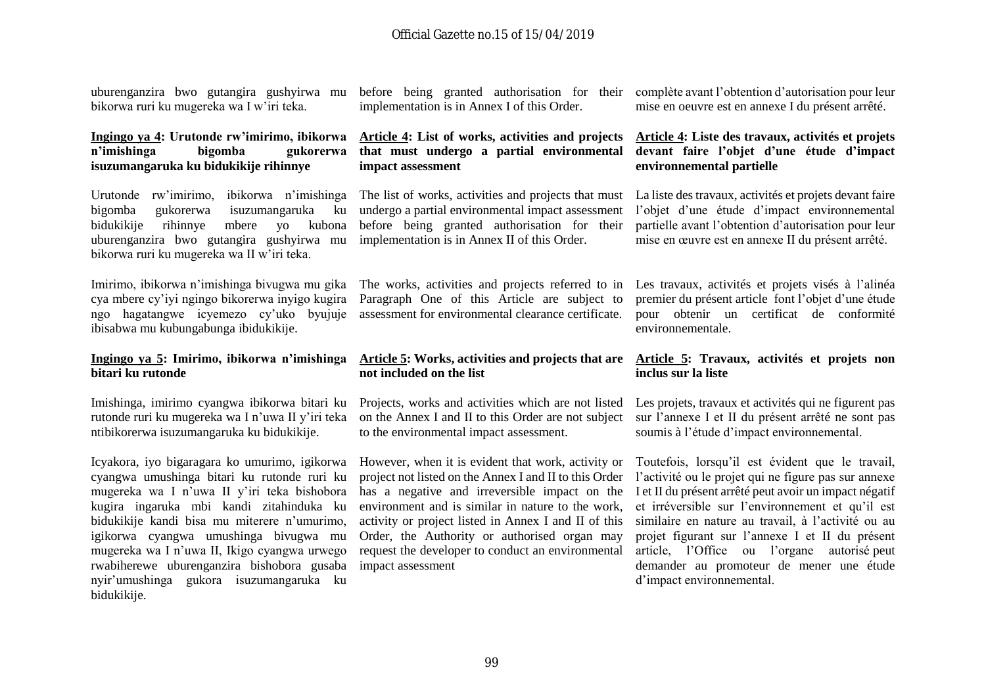uburenganzira bwo gutangira gushyirwa mu bikorwa ruri ku mugereka wa I w'iri teka.

#### **Ingingo ya 4: Urutonde rw'imirimo, ibikorwa n'imishinga bigomba gukorerwa isuzumangaruka ku bidukikije rihinnye**

bigomba gukorerwa isuzumangaruka ku bidukikije rihinnye mbere yo kubona uburenganzira bwo gutangira gushyirwa mu implementation is in Annex II of this Order. bikorwa ruri ku mugereka wa II w'iri teka.

cya mbere cy'iyi ngingo bikorerwa inyigo kugira ngo hagatangwe icyemezo cy'uko byujuje ibisabwa mu kubungabunga ibidukikije.

#### **Ingingo ya 5: Imirimo, ibikorwa n'imishinga bitari ku rutonde**

Imishinga, imirimo cyangwa ibikorwa bitari ku rutonde ruri ku mugereka wa I n'uwa II y'iri teka ntibikorerwa isuzumangaruka ku bidukikije.

Icyakora, iyo bigaragara ko umurimo, igikorwa cyangwa umushinga bitari ku rutonde ruri ku mugereka wa I n'uwa II y'iri teka bishobora kugira ingaruka mbi kandi zitahinduka ku bidukikije kandi bisa mu miterere n'umurimo, igikorwa cyangwa umushinga bivugwa mu mugereka wa I n'uwa II, Ikigo cyangwa urwego rwabiherewe uburenganzira bishobora gusaba nyir'umushinga gukora isuzumangaruka ku bidukikije.

before being granted authorisation for their implementation is in Annex I of this Order.

#### **Article 4: List of works, activities and projects that must undergo a partial environmental impact assessment**

Urutonde rw'imirimo, ibikorwa n'imishinga The list of works, activities and projects that must undergo a partial environmental impact assessment before being granted authorisation for their

Imirimo, ibikorwa n'imishinga bivugwa mu gika The works, activities and projects referred to in Paragraph One of this Article are subject to assessment for environmental clearance certificate.

#### **Article 5: Works, activities and projects that are not included on the list**

Projects, works and activities which are not listed on the Annex I and II to this Order are not subject to the environmental impact assessment.

However, when it is evident that work, activity or project not listed on the Annex I and II to this Order has a negative and irreversible impact on the I et II du présent arrêté peut avoir un impact négatif environment and is similar in nature to the work, activity or project listed in Annex I and II of this Order, the Authority or authorised organ may request the developer to conduct an environmental impact assessment

complète avant l'obtention d'autorisation pour leur mise en oeuvre est en annexe I du présent arrêté.

#### **Article 4: Liste des travaux, activités et projets devant faire l'objet d'une étude d'impact environnemental partielle**

La liste des travaux, activités et projets devant faire l'objet d'une étude d'impact environnemental partielle avant l'obtention d'autorisation pour leur mise en œuvre est en annexe II du présent arrêté.

Les travaux, activités et projets visés à l'alinéa premier du présent article font l'objet d'une étude pour obtenir un certificat de conformité environnementale.

#### **Article 5: Travaux, activités et projets non inclus sur la liste**

Les projets, travaux et activités qui ne figurent pas sur l'annexe I et II du présent arrêté ne sont pas soumis à l'étude d'impact environnemental.

Toutefois, lorsqu'il est évident que le travail, l'activité ou le projet qui ne figure pas sur annexe et irréversible sur l'environnement et qu'il est similaire en nature au travail, à l'activité ou au projet figurant sur l'annexe I et II du présent article, l'Office ou l'organe autorisé peut demander au promoteur de mener une étude d'impact environnemental.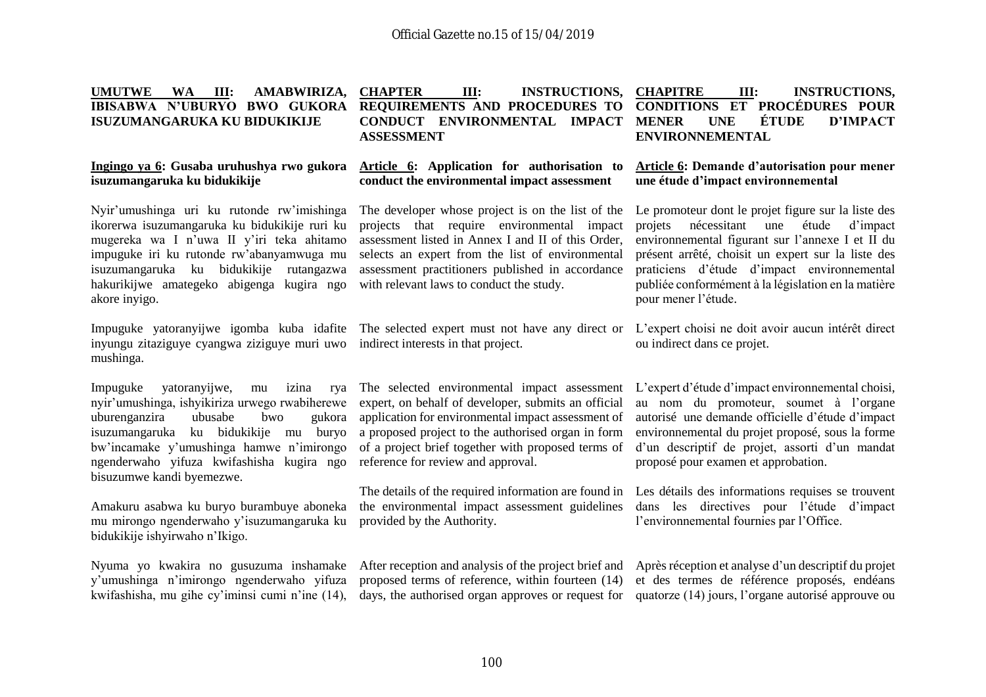#### **UMUTWE WA III: AMABWIRIZA, IBISABWA N'UBURYO BWO GUKORA ISUZUMANGARUKA KU BIDUKIKIJE CHAPTER III: INSTRUCTIONS, REQUIREMENTS AND PROCEDURES TO CONDUCT ENVIRONMENTAL IMPACT ASSESSMENT CHAPITRE III: INSTRUCTIONS, CONDITIONS ET PROCÉDURES POUR MENER UNE ÉTUDE D'IMPACT**

**Article 6: Application for authorisation to conduct the environmental impact assessment**

#### **Ingingo ya 6: Gusaba uruhushya rwo gukora isuzumangaruka ku bidukikije**

Nyir'umushinga uri ku rutonde rw'imishinga ikorerwa isuzumangaruka ku bidukikije ruri ku mugereka wa I n'uwa II y'iri teka ahitamo impuguke iri ku rutonde rw'abanyamwuga mu isuzumangaruka ku bidukikije rutangazwa hakurikijwe amategeko abigenga kugira ngo akore inyigo.

inyungu zitaziguye cyangwa ziziguye muri uwo indirect interests in that project. mushinga.

Impuguke vatoranyijwe, mu nyir'umushinga, ishyikiriza urwego rwabiherewe uburenganzira ubusabe bwo gukora isuzumangaruka ku bidukikije mu buryo bw'incamake y'umushinga hamwe n'imirongo ngenderwaho yifuza kwifashisha kugira ngo bisuzumwe kandi byemezwe.

Amakuru asabwa ku buryo burambuye aboneka mu mirongo ngenderwaho y'isuzumangaruka ku bidukikije ishyirwaho n'Ikigo.

Nyuma yo kwakira no gusuzuma inshamake y'umushinga n'imirongo ngenderwaho yifuza kwifashisha, mu gihe cy'iminsi cumi n'ine (14),

The developer whose project is on the list of the Le promoteur dont le projet figure sur la liste des projects that require environmental impact assessment listed in Annex I and II of this Order, selects an expert from the list of environmental assessment practitioners published in accordance with relevant laws to conduct the study.

izina rya The selected environmental impact assessment expert, on behalf of developer, submits an official application for environmental impact assessment of a proposed project to the authorised organ in form of a project brief together with proposed terms of reference for review and approval.

> The details of the required information are found in Les détails des informations requises se trouvent the environmental impact assessment guidelines provided by the Authority.

> proposed terms of reference, within fourteen (14) et des termes de référence proposés, endéans

**ENVIRONNEMENTAL**

#### **Article 6: Demande d'autorisation pour mener une étude d'impact environnemental**

projets nécessitant une étude d'impact environnemental figurant sur l'annexe I et II du présent arrêté, choisit un expert sur la liste des praticiens d'étude d'impact environnemental publiée conformément à la législation en la matière pour mener l'étude.

Impuguke yatoranyijwe igomba kuba idafite The selected expert must not have any direct or L'expert choisi ne doit avoir aucun intérêt direct ou indirect dans ce projet.

> L'expert d'étude d'impact environnemental choisi, au nom du promoteur, soumet à l'organe autorisé une demande officielle d'étude d'impact environnemental du projet proposé, sous la forme d'un descriptif de projet, assorti d'un mandat proposé pour examen et approbation.

> dans les directives pour l'étude d'impact l'environnemental fournies par l'Office.

After reception and analysis of the project brief and Après réception et analyse d'un descriptif du projet days, the authorised organ approves or request for quatorze (14) jours, l'organe autorisé approuve ou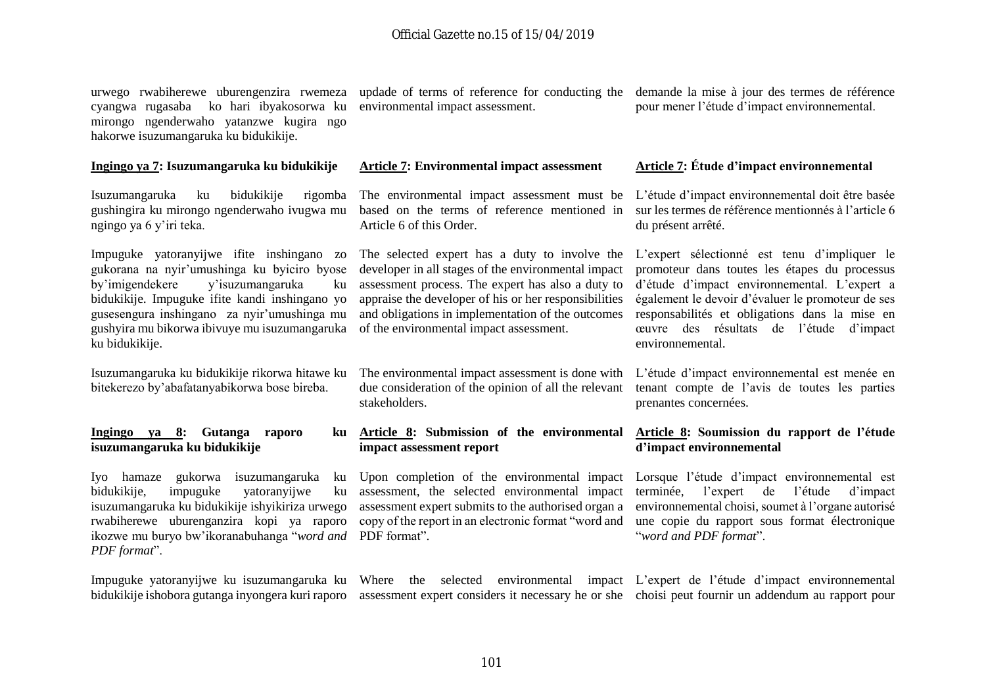urwego rwabiherewe uburengenzira rwemeza cyangwa rugasaba ko hari ibyakosorwa ku mirongo ngenderwaho yatanzwe kugira ngo hakorwe isuzumangaruka ku bidukikije.

#### **Ingingo ya 7: Isuzumangaruka ku bidukikije**

Isuzumangaruka ku bidukikije gushingira ku mirongo ngenderwaho ivugwa mu ngingo ya 6 y'iri teka.

Impuguke yatoranyijwe ifite inshingano zo gukorana na nyir'umushinga ku byiciro byose<br>by'imigendekere y'isuzumangaruka ku y'isuzumangaruka ku bidukikije. Impuguke ifite kandi inshingano yo gusesengura inshingano za nyir'umushinga mu gushyira mu bikorwa ibivuye mu isuzumangaruka ku bidukikije.

Isuzumangaruka ku bidukikije rikorwa hitawe ku bitekerezo by'abafatanyabikorwa bose bireba.

**Ingingo ya 8: Gutanga raporo ku isuzumangaruka ku bidukikije**

Iyo hamaze gukorwa isuzumangaruka ku bidukikije, impuguke yatoranyijwe ku isuzumangaruka ku bidukikije ishyikiriza urwego rwabiherewe uburenganzira kopi ya raporo ikozwe mu buryo bw'ikoranabuhanga "*word and*  PDF format". *PDF format*".

updade of terms of reference for conducting the demande la mise à jour des termes de référence environmental impact assessment.

pour mener l'étude d'impact environnemental.

#### **Article 7: Environmental impact assessment Article 7: Étude d'impact environnemental**

du présent arrêté.

The environmental impact assessment must be L'étude d'impact environnemental doit être basée based on the terms of reference mentioned in Article 6 of this Order.

developer in all stages of the environmental impact assessment process. The expert has also a duty to appraise the developer of his or her responsibilities and obligations in implementation of the outcomes of the environmental impact assessment.

The environmental impact assessment is done with L'étude d'impact environnemental est menée en due consideration of the opinion of all the relevant stakeholders.

#### **Article 8: Submission of the environmental impact assessment report**

Upon completion of the environmental impact Lorsque l'étude d'impact environnemental est assessment, the selected environmental impact assessment expert submits to the authorised organ a copy of the report in an electronic format "word and

sur les termes de référence mentionnés à l'article 6

The selected expert has a duty to involve the L'expert sélectionné est tenu d'impliquer le promoteur dans toutes les étapes du processus d'étude d'impact environnemental. L'expert a également le devoir d'évaluer le promoteur de ses responsabilités et obligations dans la mise en œuvre des résultats de l'étude d'impact environnemental.

> tenant compte de l'avis de toutes les parties prenantes concernées.

#### **Article 8: Soumission du rapport de l'étude d'impact environnemental**

terminée, l'expert de l'étude d'impact environnemental choisi, soumet à l'organe autorisé une copie du rapport sous format électronique "*word and PDF format*".

Impuguke yatoranyijwe ku isuzumangaruka ku Where the selected environmental impact L'expert de l'étude d'impact environnemental bidukikije ishobora gutanga inyongera kuri raporo assessment expert considers it necessary he or she choisi peut fournir un addendum au rapport pour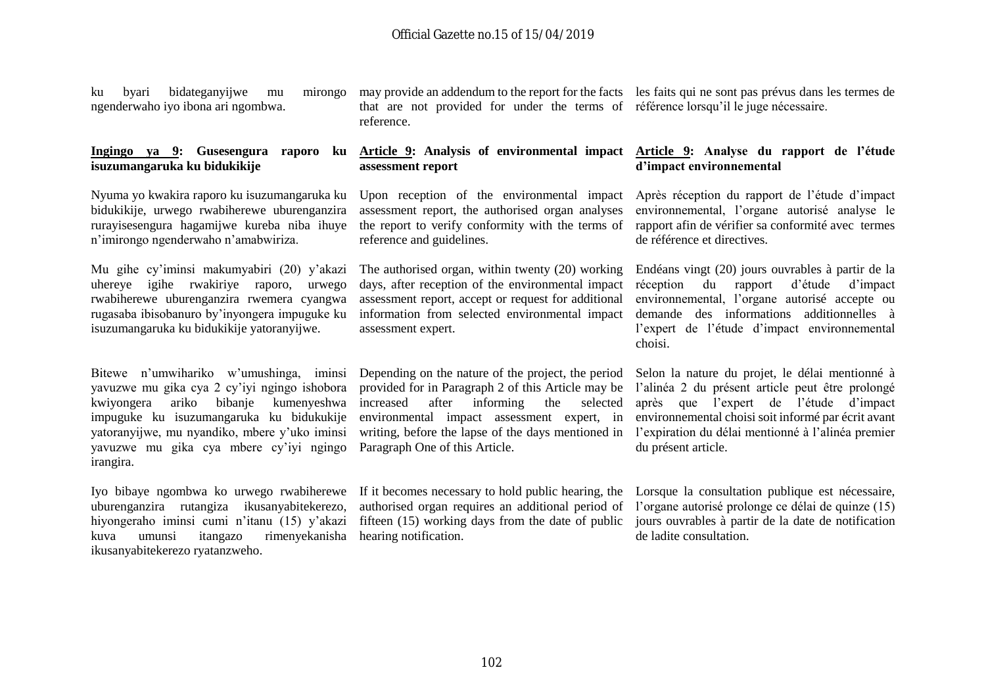ku byari bidateganyijwe mu mirongo ngenderwaho iyo ibona ari ngombwa.

#### **Ingingo ya 9: Gusesengura raporo ku isuzumangaruka ku bidukikije**

Nyuma yo kwakira raporo ku isuzumangaruka ku bidukikije, urwego rwabiherewe uburenganzira rurayisesengura hagamijwe kureba niba ihuye n'imirongo ngenderwaho n'amabwiriza.

uhereye igihe rwakiriye raporo, urwego rwabiherewe uburenganzira rwemera cyangwa rugasaba ibisobanuro by'inyongera impuguke ku isuzumangaruka ku bidukikije yatoranyijwe.

yavuzwe mu gika cya 2 cy'iyi ngingo ishobora kwiyongera ariko bibanje kumenyeshwa impuguke ku isuzumangaruka ku bidukukije yatoranyijwe, mu nyandiko, mbere y'uko iminsi yavuzwe mu gika cya mbere cy'iyi ngingo irangira.

Iyo bibaye ngombwa ko urwego rwabiherewe uburenganzira rutangiza ikusanyabitekerezo, hiyongeraho iminsi cumi n'itanu (15) y'akazi kuva umunsi itangazo rimenyekanisha hearing notification. ikusanyabitekerezo ryatanzweho.

may provide an addendum to the report for the facts les faits qui ne sont pas prévus dans les termes de that are not provided for under the terms of référence lorsqu'il le juge nécessaire. reference.

#### **Article 9: Analysis of environmental impact Article 9: Analyse du rapport de l'étude assessment report**

Upon reception of the environmental impact assessment report, the authorised organ analyses the report to verify conformity with the terms of reference and guidelines.

Mu gihe cy'iminsi makumyabiri (20) y'akazi The authorised organ, within twenty (20) working Endéans vingt (20) jours ouvrables à partir de la days, after reception of the environmental impact assessment report, accept or request for additional information from selected environmental impact assessment expert.

Bitewe n'umwihariko w'umushinga, iminsi Depending on the nature of the project, the period provided for in Paragraph 2 of this Article may be l'alinéa 2 du présent article peut être prolongé increased after informing the selected environmental impact assessment expert, in writing, before the lapse of the days mentioned in l'expiration du délai mentionné à l'alinéa premier Paragraph One of this Article.

# **d'impact environnemental**

Après réception du rapport de l'étude d'impact environnemental, l'organe autorisé analyse le rapport afin de vérifier sa conformité avec termes de référence et directives.

réception du rapport d'étude d'impact environnemental, l'organe autorisé accepte ou demande des informations additionnelles à l'expert de l'étude d'impact environnemental choisi.

Selon la nature du projet, le délai mentionné à après que l'expert de l'étude d'impact environnemental choisi soit informé par écrit avant du présent article.

If it becomes necessary to hold public hearing, the Lorsque la consultation publique est nécessaire, authorised organ requires an additional period of l'organe autorisé prolonge ce délai de quinze (15) fifteen (15) working days from the date of public jours ouvrables à partir de la date de notification de ladite consultation.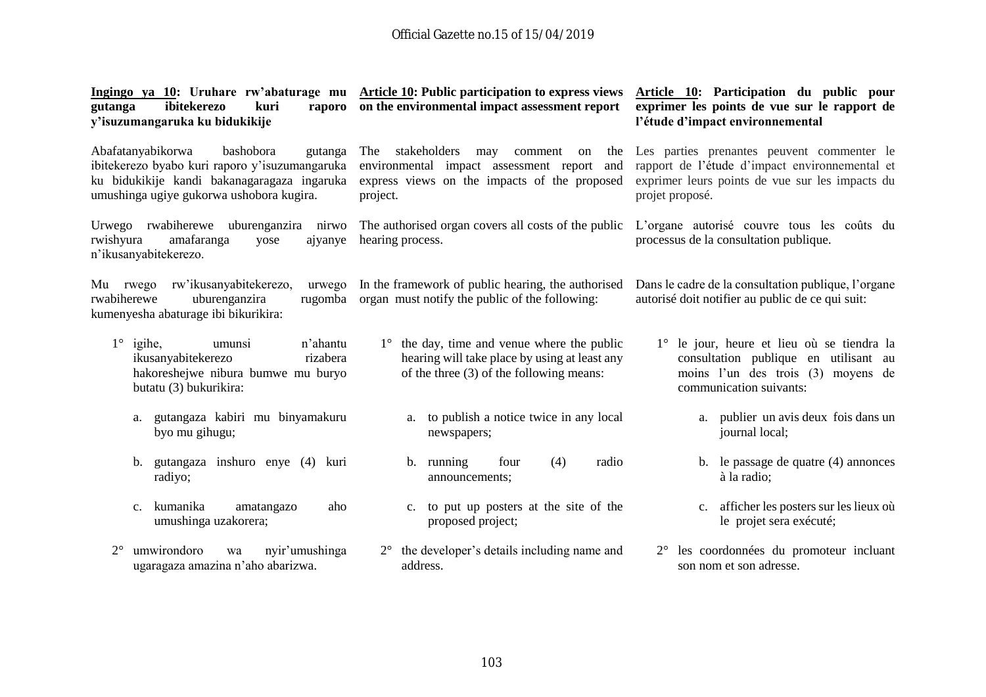| ibitekerezo<br>kuri<br>gutanga<br>raporo<br>y'isuzumangaruka ku bidukikije                                                                                                             | Ingingo ya 10: Uruhare rw'abaturage mu Article 10: Public participation to express views<br>on the environmental impact assessment report                    | Article 10: Participation du public pour<br>exprimer les points de vue sur le rapport de<br>l'étude d'impact environnemental                                       |
|----------------------------------------------------------------------------------------------------------------------------------------------------------------------------------------|--------------------------------------------------------------------------------------------------------------------------------------------------------------|--------------------------------------------------------------------------------------------------------------------------------------------------------------------|
| Abafatanyabikorwa<br>bashobora<br>gutanga<br>ibitekerezo byabo kuri raporo y'isuzumangaruka<br>ku bidukikije kandi bakanagaragaza ingaruka<br>umushinga ugiye gukorwa ushobora kugira. | stakeholders<br>The<br>may<br>comment<br>the<br>on<br>environmental impact assessment report and<br>express views on the impacts of the proposed<br>project. | Les parties prenantes peuvent commenter le<br>rapport de l'étude d'impact environnemental et<br>exprimer leurs points de vue sur les impacts du<br>projet proposé. |
| Urwego rwabiherewe<br>uburenganzira nirwo<br>rwishyura<br>amafaranga<br>ajyanye<br>yose<br>n'ikusanyabitekerezo.                                                                       | The authorised organ covers all costs of the public<br>hearing process.                                                                                      | L'organe autorisé couvre tous les coûts du<br>processus de la consultation publique.                                                                               |
| rw'ikusanyabitekerezo,<br>Mu rwego<br>urwego<br>uburenganzira<br>rwabiherewe<br>rugomba<br>kumenyesha abaturage ibi bikurikira:                                                        | In the framework of public hearing, the authorised<br>organ must notify the public of the following:                                                         | Dans le cadre de la consultation publique, l'organe<br>autorisé doit notifier au public de ce qui suit:                                                            |
| $1^\circ$ igihe,<br>n'ahantu<br>umunsi<br>ikusanyabitekerezo<br>rizabera<br>hakoreshejwe nibura bumwe mu buryo<br>butatu (3) bukurikira:                                               | $1^\circ$ the day, time and venue where the public<br>hearing will take place by using at least any<br>of the three $(3)$ of the following means:            | 1° le jour, heure et lieu où se tiendra la<br>consultation publique en utilisant au<br>moins l'un des trois (3) moyens de<br>communication suivants:               |
| gutangaza kabiri mu binyamakuru<br>a.<br>byo mu gihugu;                                                                                                                                | to publish a notice twice in any local<br>a.<br>newspapers;                                                                                                  | a. publier un avis deux fois dans un<br>journal local;                                                                                                             |
| gutangaza inshuro enye (4) kuri<br>b.<br>radiyo;                                                                                                                                       | (4)<br>radio<br>b. running<br>four<br>announcements;                                                                                                         | le passage de quatre (4) annonces<br>$b_{\cdot}$<br>à la radio;                                                                                                    |
| kumanika<br>amatangazo<br>aho<br>$C_{\bullet}$<br>umushinga uzakorera;                                                                                                                 | c. to put up posters at the site of the<br>proposed project;                                                                                                 | afficher les posters sur les lieux où<br>$c_{\cdot}$<br>le projet sera exécuté;                                                                                    |
| $2^{\circ}$<br>umwirondoro<br>nyir'umushinga<br>wa<br>ugaragaza amazina n'aho abarizwa.                                                                                                | the developer's details including name and<br>$2^{\circ}$<br>address.                                                                                        | les coordonnées du promoteur incluant<br>son nom et son adresse.                                                                                                   |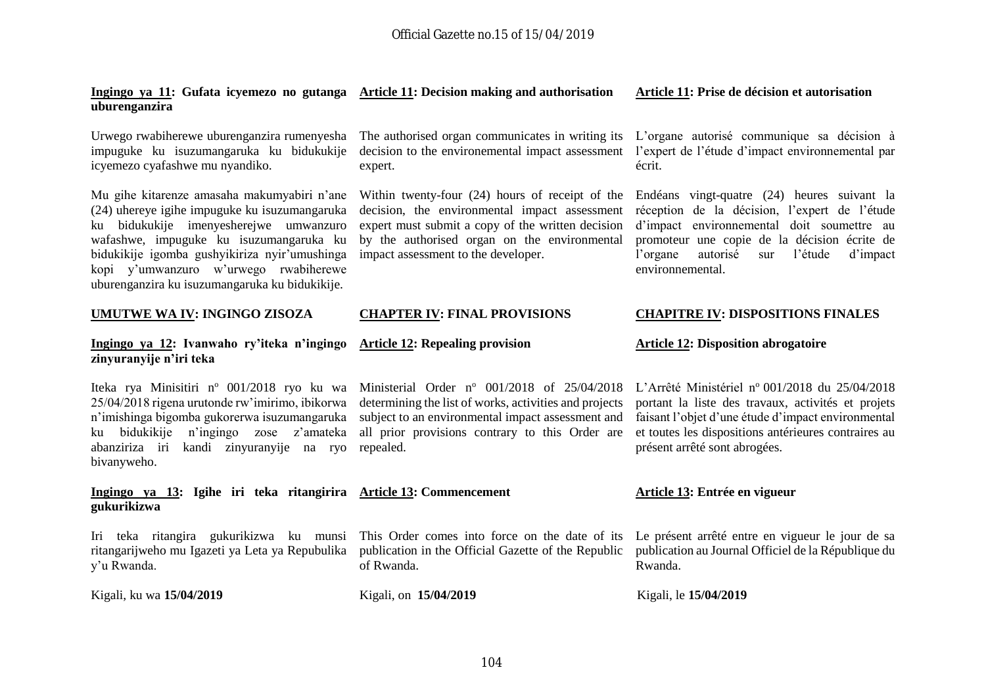#### **Ingingo ya 11: Gufata icyemezo no gutanga Article 11: Decision making and authorisation uburenganzira**

impuguke ku isuzumangaruka ku bidukukije icyemezo cyafashwe mu nyandiko.

Mu gihe kitarenze amasaha makumyabiri n'ane (24) uhereye igihe impuguke ku isuzumangaruka ku bidukukije imenyesherejwe umwanzuro wafashwe, impuguke ku isuzumangaruka ku bidukikije igomba gushyikiriza nyir'umushinga kopi y'umwanzuro w'urwego rwabiherewe uburenganzira ku isuzumangaruka ku bidukikije.

#### **UMUTWE WA IV: INGINGO ZISOZA**

#### **Ingingo ya 12: Ivanwaho ry'iteka n'ingingo zinyuranyije n'iri teka**

25/04/2018 rigena urutonde rw'imirimo, ibikorwa n'imishinga bigomba gukorerwa isuzumangaruka ku bidukikije n'ingingo zose z'amateka abanziriza iri kandi zinyuranyije na ryo bivanyweho.

#### **Ingingo ya 13: Igihe iri teka ritangirira Article 13: Commencement gukurikizwa**

Iri teka ritangira gukurikizwa ku munsi ritangarijweho mu Igazeti ya Leta ya Repubulika y'u Rwanda.

Kigali, ku wa **15/04/2019** Kigali, on **15/04/2019** Kigali, le **15/04/2019**

decision to the environemental impact assessment l'expert de l'étude d'impact environnemental par expert.

Within twenty-four (24) hours of receipt of the Endéans vingt-quatre (24) heures suivant la decision, the environmental impact assessment expert must submit a copy of the written decision by the authorised organ on the environmental impact assessment to the developer.

#### **CHAPTER IV: FINAL PROVISIONS**

#### **Article 12: Repealing provision**

Iteka rya Minisitiri nº 001/2018 ryo ku wa Ministerial Order nº 001/2018 of 25/04/2018 L'Arrêté Ministériel nº 001/2018 du 25/04/2018 determining the list of works, activities and projects subject to an environmental impact assessment and all prior provisions contrary to this Order are repealed.

This Order comes into force on the date of its publication in the Official Gazette of the Republic of Rwanda.

**Article 11: Prise de décision et autorisation**

Urwego rwabiherewe uburenganzira rumenyesha The authorised organ communicates in writing its L'organe autorisé communique sa décision à écrit.

> réception de la décision, l'expert de l'étude d'impact environnemental doit soumettre au promoteur une copie de la décision écrite de l'organe autorisé sur l'étude d'impact environnemental.

#### **CHAPITRE IV: DISPOSITIONS FINALES**

#### **Article 12: Disposition abrogatoire**

portant la liste des travaux, activités et projets faisant l'objet d'une étude d'impact environmental et toutes les dispositions antérieures contraires au présent arrêté sont abrogées.

#### **Article 13: Entrée en vigueur**

Le présent arrêté entre en vigueur le jour de sa publication au Journal Officiel de la République du Rwanda.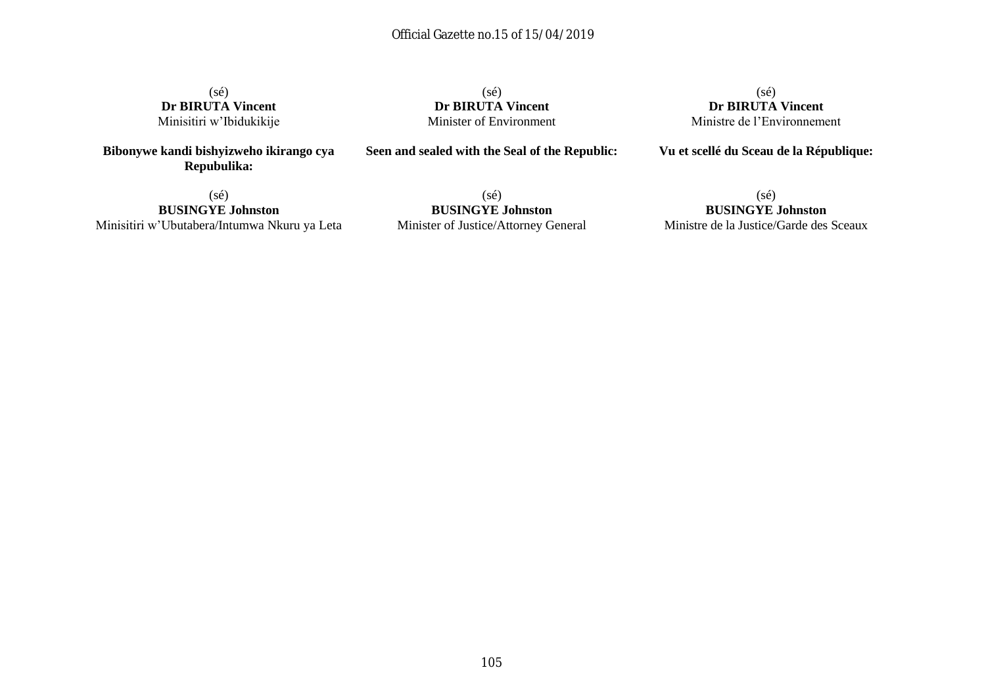(sé) **Dr BIRUTA Vincent** Minisitiri w'Ibidukikije

**Bibonywe kandi bishyizweho ikirango cya Repubulika:**

(sé) **Dr BIRUTA Vincent** Minister of Environment

**Seen and sealed with the Seal of the Republic:**

(sé) **Dr BIRUTA Vincent** Ministre de l'Environnement

**Vu et scellé du Sceau de la République:**

 $(sé)$ **BUSINGYE Johnston** Minisitiri w'Ubutabera/Intumwa Nkuru ya Leta

(sé) **BUSINGYE Johnston** Minister of Justice/Attorney General

(sé) **BUSINGYE Johnston** Ministre de la Justice/Garde des Sceaux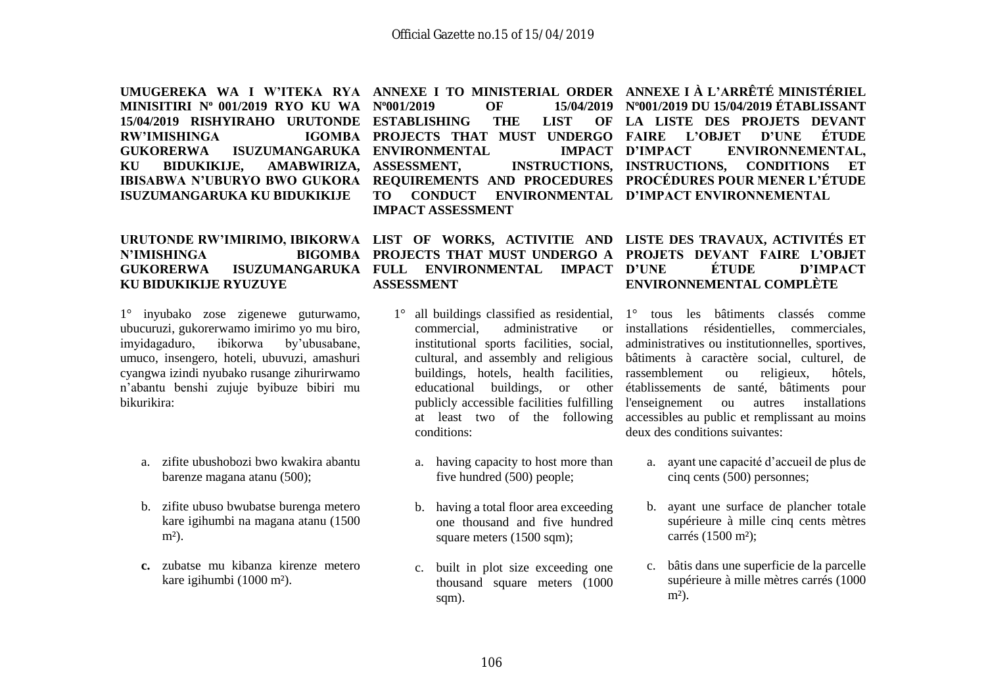**RW'IMISHINGA KU BIDUKIKIJE, AMABWIRIZA, ISUZUMANGARUKA KU BIDUKIKIJE**

# **N'IMISHINGA KU BIDUKIKIJE RYUZUYE**

1° inyubako zose zigenewe guturwamo, ubucuruzi, gukorerwamo imirimo yo mu biro, imyidagaduro, ibikorwa by'ubusabane, umuco, insengero, hoteli, ubuvuzi, amashuri cyangwa izindi nyubako rusange zihurirwamo n'abantu benshi zujuje byibuze bibiri mu bikurikira:

- a. zifite ubushobozi bwo kwakira abantu barenze magana atanu (500);
- b. zifite ubuso bwubatse burenga metero kare igihumbi na magana atanu (1500  $m<sup>2</sup>$ ).
- **c.** zubatse mu kibanza kirenze metero kare igihumbi (1000 m²).

**MINISITIRI N<sup>o</sup> 001/2019 RYO KU WA N<sup>o</sup>001/2019 OF 15/04/2019 15/04/2019 RISHYIRAHO URUTONDE ESTABLISHING THE LIST OF GUKORERWA ISUZUMANGARUKA ENVIRONMENTAL IMPACT TO CONDUCT ENVIRONMENTAL D'IMPACT ENVIRONNEMENTAL IMPACT ASSESSMENT**

URUTONDE RW'IMIRIMO, IBIKORWA LIST OF WORKS, ACTIVITIE AND LISTE DES TRAVAUX, ACTIVITÉS ET **GUKORERWA ISUZUMANGARUKA FULL ENVIRONMENTAL IMPACT PROJECTS THAT MUST UNDERGO A PROJETS DEVANT FAIRE L'OBJET ASSESSMENT**

- commercial, administrative or institutional sports facilities, social, buildings, hotels, health facilities, educational buildings, or other publicly accessible facilities fulfilling at least two of the following conditions:
	- a. having capacity to host more than five hundred (500) people;
	- b. having a total floor area exceeding one thousand and five hundred square meters (1500 sqm);
	- c. built in plot size exceeding one thousand square meters (1000 sqm).

**UMUGEREKA WA I W'ITEKA RYA ANNEXE I TO MINISTERIAL ORDER ANNEXE I À L'ARRÊTÉ MINISTÉRIEL IBISABWA N'UBURYO BWO GUKORA REQUIREMENTS AND PROCEDURES PROCÉDURES POUR MENER L'ÉTUDE PROJECTS THAT MUST UNDERGO FAIRE L'OBJET D'UNE ÉTUDE ASSESSMENT, INSTRUCTIONS, INSTRUCTIONS, CONDITIONS ET N<sup>o</sup>001/2019 DU 15/04/2019 ÉTABLISSANT LA LISTE DES PROJETS DEVANT D'IMPACT ENVIRONNEMENTAL,** 

# **D'UNE ÉTUDE D'IMPACT ENVIRONNEMENTAL COMPLÈTE**

1° all buildings classified as residential, 1° tous les bâtiments classés comme cultural, and assembly and religious bâtiments à caractère social, culturel, de installations résidentielles, commerciales, administratives ou institutionnelles, sportives, rassemblement ou religieux, hôtels, établissements de santé, bâtiments pour l'enseignement ou autres installations accessibles au public et remplissant au moins deux des conditions suivantes:

- a. ayant une capacité d'accueil de plus de cinq cents (500) personnes;
- b. ayant une surface de plancher totale supérieure à mille cinq cents mètres carrés (1500 m²);
- c. bâtis dans une superficie de la parcelle supérieure à mille mètres carrés (1000  $m<sup>2</sup>$ ).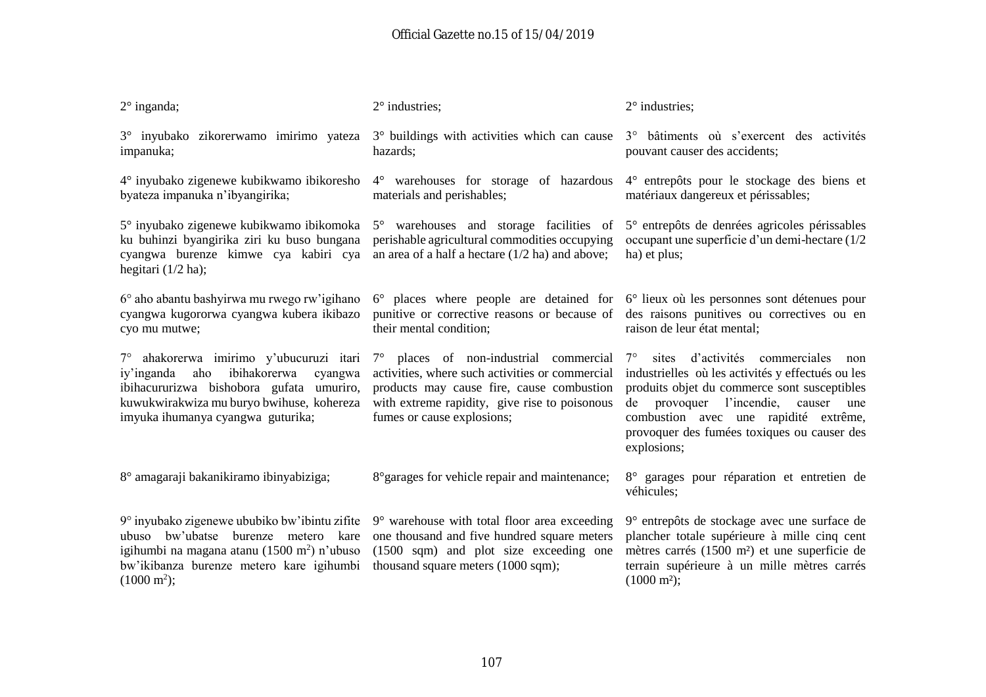| $2^{\circ}$ inganda;                                                                                                                                                                                                        | $2^\circ$ industries;                                                                                                                                                                                                 | $2^\circ$ industries;                                                                                                                                                                                                                                                                                               |
|-----------------------------------------------------------------------------------------------------------------------------------------------------------------------------------------------------------------------------|-----------------------------------------------------------------------------------------------------------------------------------------------------------------------------------------------------------------------|---------------------------------------------------------------------------------------------------------------------------------------------------------------------------------------------------------------------------------------------------------------------------------------------------------------------|
| $3^\circ$ inyubako zikorerwamo imirimo yateza $3^\circ$ buildings with activities which can cause<br>impanuka;                                                                                                              | hazards;                                                                                                                                                                                                              | 3° bâtiments où s'exercent des activités<br>pouvant causer des accidents;                                                                                                                                                                                                                                           |
| 4° inyubako zigenewe kubikwamo ibikoresho<br>byateza impanuka n'ibyangirika;                                                                                                                                                | 4° warehouses for storage of hazardous<br>materials and perishables;                                                                                                                                                  | 4° entrepôts pour le stockage des biens et<br>matériaux dangereux et périssables;                                                                                                                                                                                                                                   |
| 5° inyubako zigenewe kubikwamo ibikomoka<br>ku buhinzi byangirika ziri ku buso bungana<br>cyangwa burenze kimwe cya kabiri cya<br>hegitari $(1/2$ ha);                                                                      | 5° warehouses and storage facilities of<br>perishable agricultural commodities occupying<br>an area of a half a hectare $(1/2$ ha) and above;                                                                         | 5° entrepôts de denrées agricoles périssables<br>occupant une superficie d'un demi-hectare (1/2<br>ha) et plus;                                                                                                                                                                                                     |
| 6° aho abantu bashyirwa mu rwego rw'igihano<br>cyangwa kugororwa cyangwa kubera ikibazo<br>cyo mu mutwe;                                                                                                                    | 6° places where people are detained for<br>punitive or corrective reasons or because of<br>their mental condition;                                                                                                    | $6^\circ$ lieux où les personnes sont détenues pour<br>des raisons punitives ou correctives ou en<br>raison de leur état mental;                                                                                                                                                                                    |
| 7° ahakorerwa imirimo y'ubucuruzi itari<br>iy'inganda aho ibihakorerwa<br>cyangwa<br>ibihacururizwa bishobora gufata umuriro,<br>kuwukwirakwiza mu buryo bwihuse, kohereza<br>imyuka ihumanya cyangwa guturika;             | 7° places of non-industrial commercial<br>activities, where such activities or commercial<br>products may cause fire, cause combustion<br>with extreme rapidity, give rise to poisonous<br>fumes or cause explosions; | sites d'activités commerciales<br>$7^{\circ}$<br>non<br>industrielles où les activités y effectués ou les<br>produits objet du commerce sont susceptibles<br>l'incendie,<br>provoquer<br>causer<br>de<br>une<br>combustion avec une rapidité extrême,<br>provoquer des fumées toxiques ou causer des<br>explosions; |
| 8° amagaraji bakanikiramo ibinyabiziga;                                                                                                                                                                                     | 8° garages for vehicle repair and maintenance;                                                                                                                                                                        | 8° garages pour réparation et entretien de<br>véhicules;                                                                                                                                                                                                                                                            |
| 9° inyubako zigenewe ububiko bw'ibintu zifite<br>bw'ubatse<br>burenze<br>metero kare<br>ubuso<br>igihumbi na magana atanu $(1500 \text{ m}^2)$ n'ubuso<br>bw'ikibanza burenze metero kare igihumbi<br>$(1000 \text{ m}^2);$ | $9^\circ$ warehouse with total floor area exceeding<br>one thousand and five hundred square meters<br>(1500 sqm) and plot size exceeding one<br>thousand square meters (1000 sqm);                                    | 9° entrepôts de stockage avec une surface de<br>plancher totale supérieure à mille cinq cent<br>mètres carrés (1500 m <sup>2</sup> ) et une superficie de<br>terrain supérieure à un mille mètres carrés<br>$(1000 \text{ m}^2);$                                                                                   |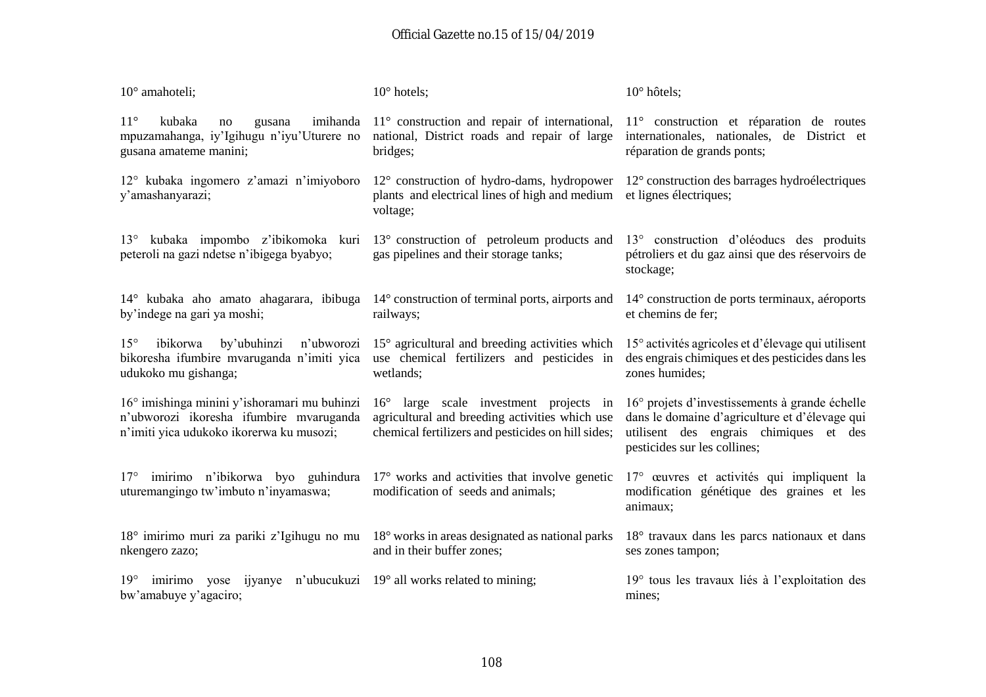| 10° amahoteli;                                                                                                                            | $10^{\circ}$ hotels;                                                                                                                           | $10^\circ$ hôtels;                                                                                                                                                         |
|-------------------------------------------------------------------------------------------------------------------------------------------|------------------------------------------------------------------------------------------------------------------------------------------------|----------------------------------------------------------------------------------------------------------------------------------------------------------------------------|
| $11^{\circ}$<br>imihanda<br>kubaka<br>gusana<br>no<br>mpuzamahanga, iy'Igihugu n'iyu'Uturere no<br>gusana amateme manini;                 | $11^{\circ}$ construction and repair of international,<br>national, District roads and repair of large<br>bridges;                             | 11 <sup>°</sup> construction et réparation de routes<br>internationales, nationales, de District et<br>réparation de grands ponts;                                         |
| $12^{\circ}$ kubaka ingomero z'amazi n'imiyoboro $12^{\circ}$ construction of hydro-dams, hydropower<br>y'amashanyarazi;                  | plants and electrical lines of high and medium<br>voltage;                                                                                     | 12° construction des barrages hydroélectriques<br>et lignes électriques;                                                                                                   |
| $13^{\circ}$<br>peteroli na gazi ndetse n'ibigega byabyo;                                                                                 | kubaka impombo z'ibikomoka kuri 13° construction of petroleum products and<br>gas pipelines and their storage tanks;                           | 13° construction d'oléoducs des produits<br>pétroliers et du gaz ainsi que des réservoirs de<br>stockage;                                                                  |
| $14^{\circ}$ kubaka aho amato ahagarara, ibibuga $14^{\circ}$ construction of terminal ports, airports and<br>by'indege na gari ya moshi; | railways;                                                                                                                                      | 14° construction de ports terminaux, aéroports<br>et chemins de fer;                                                                                                       |
| $15^{\circ}$<br>by'ubuhinzi<br>ibikorwa<br>bikoresha ifumbire mvaruganda n'imiti yica<br>udukoko mu gishanga;                             | n'ubworozi $15^{\circ}$ agricultural and breeding activities which<br>use chemical fertilizers and pesticides in<br>wetlands;                  | 15° activités agricoles et d'élevage qui utilisent<br>des engrais chimiques et des pesticides dans les<br>zones humides;                                                   |
| 16° imishinga minini y'ishoramari mu buhinzi<br>n'ubworozi ikoresha ifumbire mvaruganda<br>n'imiti yica udukoko ikorerwa ku musozi;       | 16° large scale investment projects in<br>agricultural and breeding activities which use<br>chemical fertilizers and pesticides on hill sides; | 16° projets d'investissements à grande échelle<br>dans le domaine d'agriculture et d'élevage qui<br>utilisent des engrais chimiques et des<br>pesticides sur les collines; |
| 17° imirimo n'ibikorwa byo guhindura<br>uturemangingo tw'imbuto n'inyamaswa;                                                              | $17°$ works and activities that involve genetic<br>modification of seeds and animals;                                                          | 17° œuvres et activités qui impliquent la<br>modification génétique des graines et les<br>animaux;                                                                         |
| 18° imirimo muri za pariki z'Igihugu no mu 18° works in areas designated as national parks<br>nkengero zazo;                              | and in their buffer zones;                                                                                                                     | 18° travaux dans les parcs nationaux et dans<br>ses zones tampon;                                                                                                          |
| imirimo yose<br>$19^\circ$<br>bw'amabuye y'agaciro;                                                                                       | ijyanye n'ubucukuzi 19° all works related to mining;                                                                                           | 19° tous les travaux liés à l'exploitation des<br>mines;                                                                                                                   |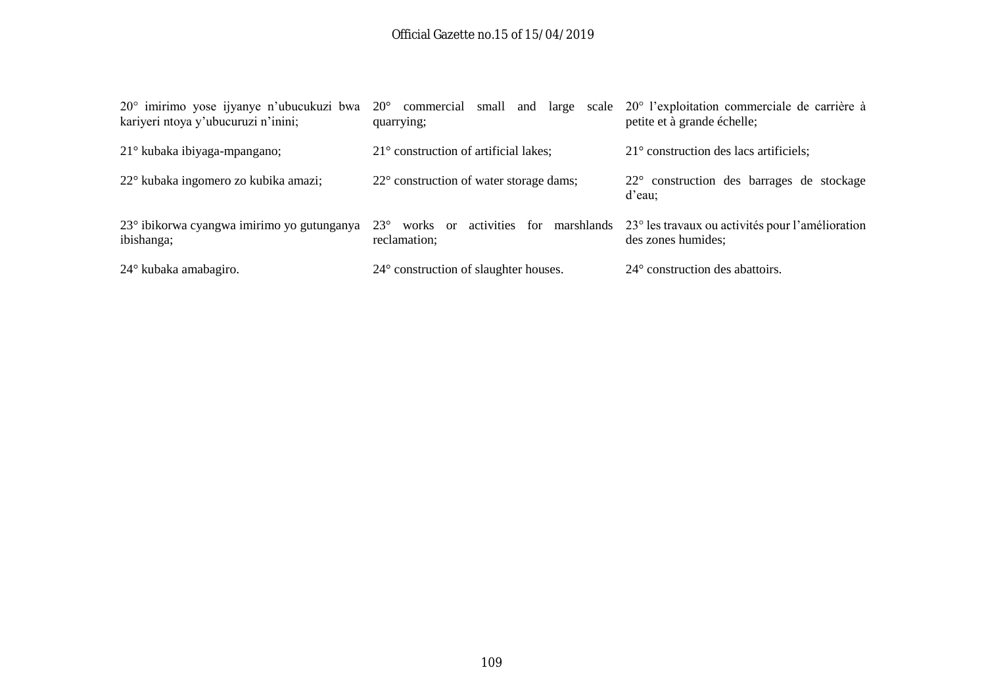| $20^{\circ}$ imirimo yose ijyanye n'ubucukuzi bwa<br>kariyeri ntoya y'ubucuruzi n'inini; | $20^{\circ}$<br>commercial<br>quarrying;       | small and large scale 20° l'exploitation commerciale de carrière à<br>petite et à grande échelle;         |
|------------------------------------------------------------------------------------------|------------------------------------------------|-----------------------------------------------------------------------------------------------------------|
| 21° kubaka ibiyaga-mpangano;                                                             | $21^{\circ}$ construction of artificial lakes; | $21^{\circ}$ construction des lacs artificiels;                                                           |
| 22° kubaka ingomero zo kubika amazi;                                                     | 22° construction of water storage dams;        | 22° construction des barrages de stockage<br>d'eau;                                                       |
| 23° ibikorwa cyangwa imirimo yo gutunganya<br>ibishanga;                                 | $23^\circ$<br>works or<br>reclamation;         | activities for marshlands $23^{\circ}$ les travaux ou activités pour l'amélioration<br>des zones humides; |
| $24^{\circ}$ kubaka amabagiro.                                                           | 24° construction of slaughter houses.          | 24° construction des abattoirs.                                                                           |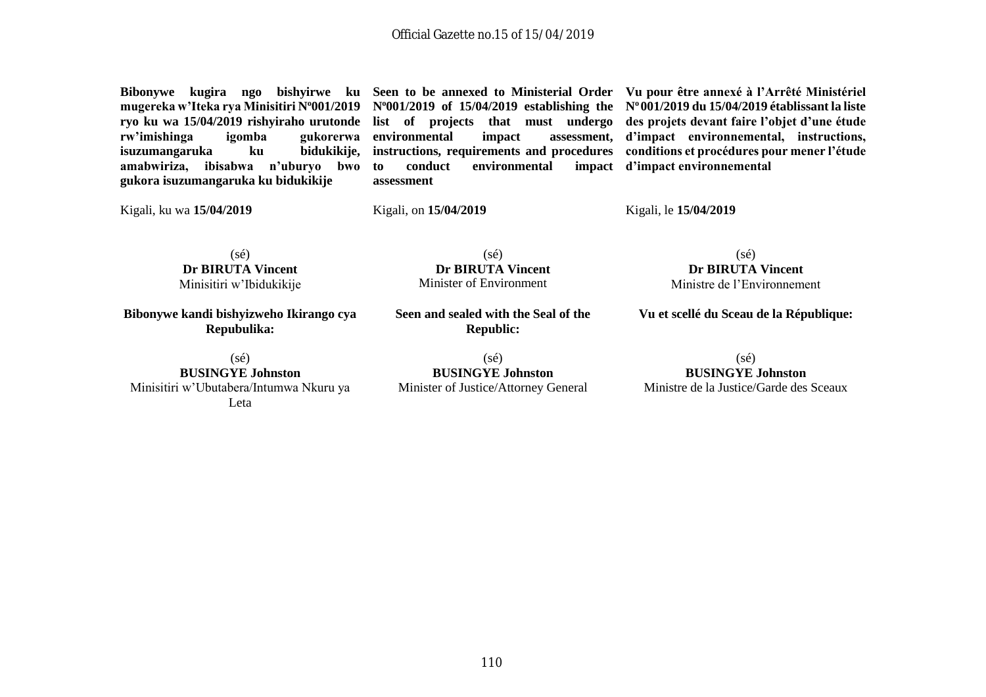**mugereka w'Iteka rya Minisitiri N<sup>o</sup>001/2019 N<sup>o</sup>001/2019 of 15/04/2019 establishing the N<sup>o</sup> 001/2019 du 15/04/2019 établissant la liste ryo ku wa 15/04/2019 rishyiraho urutonde list of projects that must undergo des projets devant faire l'objet d'une étude**  rw'imishinga *igomba* **isuzumangaruka ku bidukikije, amabwiriza, ibisabwa n'uburyo bwo gukora isuzumangaruka ku bidukikije**

**gukorerwa** environmental impact **to conduct** environmental **assessment**

**Bibonywe kugira ngo bishyirwe ku Seen to be annexed to Ministerial Order Vu pour être annexé à l'Arrêté Ministériel instructions, requirements and procedures conditions et procédures pour mener l'étude d'impact environnemental, instructions, d'impact environnemental**

Kigali, ku wa **15/04/2019**

Kigali, on **15/04/2019**

Kigali, le **15/04/2019**

(sé) **Dr BIRUTA Vincent** Minisitiri w'Ibidukikije

**Bibonywe kandi bishyizweho Ikirango cya Repubulika:**

(sé) **BUSINGYE Johnston** Minisitiri w'Ubutabera/Intumwa Nkuru ya Leta

**Seen and sealed with the Seal of the Republic:**

(sé) **Dr BIRUTA Vincent** Minister of Environment

(sé) **BUSINGYE Johnston** Minister of Justice/Attorney General

(sé) **Dr BIRUTA Vincent** Ministre de l'Environnement

**Vu et scellé du Sceau de la République:**

(sé) **BUSINGYE Johnston** Ministre de la Justice/Garde des Sceaux

110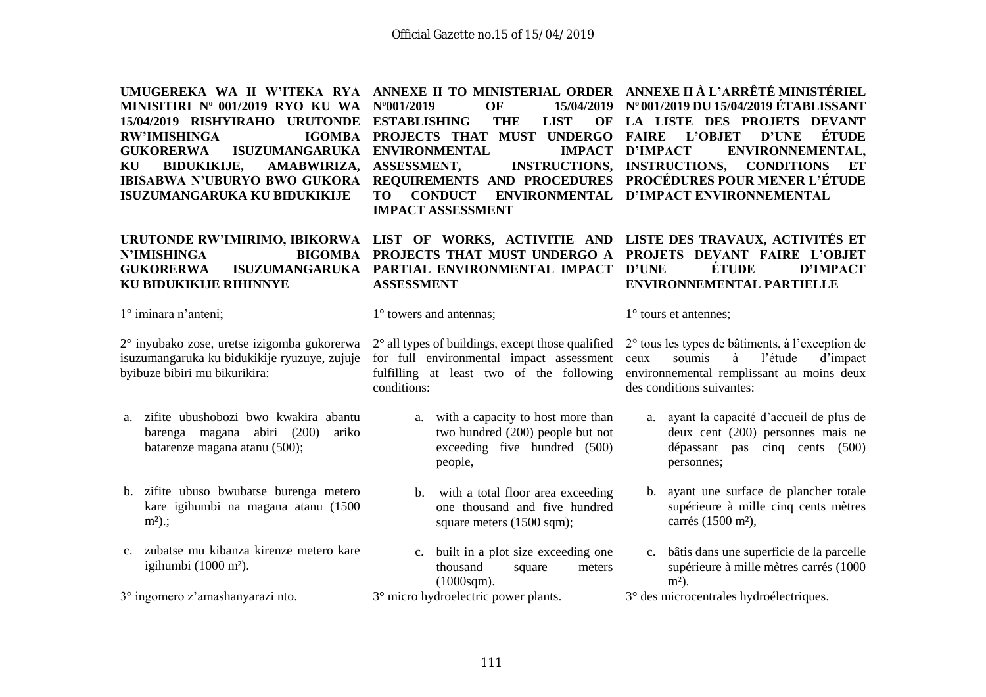| UMUGEREKA WA II W'ITEKA RYA<br>MINISITIRI Nº 001/2019 RYO KU WA<br>15/04/2019 RISHYIRAHO URUTONDE<br><b>RW'IMISHINGA</b><br><b>IGOMBA</b><br><b>ISUZUMANGARUKA</b><br><b>GUKORERWA</b><br><b>BIDUKIKIJE,</b><br>KU<br><b>AMABWIRIZA,</b><br><b>IBISABWA N'UBURYO BWO GUKORA</b><br>ISUZUMANGARUKA KU BIDUKIKIJE | ANNEXE II TO MINISTERIAL ORDER<br>N°001/2019<br><b>OF</b><br>15/04/2019<br><b>ESTABLISHING</b><br><b>THE</b><br><b>LIST</b><br>OF<br>PROJECTS THAT MUST UNDERGO<br><b>ENVIRONMENTAL</b><br><b>IMPACT</b><br><b>INSTRUCTIONS,</b><br><b>ASSESSMENT,</b><br>REQUIREMENTS AND PROCEDURES<br><b>TO</b><br><b>CONDUCT</b><br><b>ENVIRONMENTAL</b><br><b>IMPACT ASSESSMENT</b> | ANNEXE II À L'ARRÊTÉ MINISTÉRIEL<br>Nº 001/2019 DU 15/04/2019 ÉTABLISSANT<br>LA LISTE DES PROJETS DEVANT<br>ÉTUDE<br><b>FAIRE</b><br><b>L'OBJET</b><br><b>D'UNE</b><br><b>D'IMPACT</b><br>ENVIRONNEMENTAL,<br><b>INSTRUCTIONS,</b><br><b>CONDITIONS</b><br>ET<br><b>PROCÉDURES POUR MENER L'ÉTUDE</b><br>D'IMPACT ENVIRONNEMENTAL |
|-----------------------------------------------------------------------------------------------------------------------------------------------------------------------------------------------------------------------------------------------------------------------------------------------------------------|--------------------------------------------------------------------------------------------------------------------------------------------------------------------------------------------------------------------------------------------------------------------------------------------------------------------------------------------------------------------------|-----------------------------------------------------------------------------------------------------------------------------------------------------------------------------------------------------------------------------------------------------------------------------------------------------------------------------------|
| <b>N'IMISHINGA</b><br><b>BIGOMBA</b><br><b>GUKORERWA</b><br><b>ISUZUMANGARUKA</b><br>KU BIDUKIKIJE RIHINNYE                                                                                                                                                                                                     | URUTONDE RW'IMIRIMO, IBIKORWA LIST OF WORKS, ACTIVITIE AND<br>PROJECTS THAT MUST UNDERGO A<br>PARTIAL ENVIRONMENTAL IMPACT<br><b>ASSESSMENT</b>                                                                                                                                                                                                                          | LISTE DES TRAVAUX, ACTIVITÉS ET<br>PROJETS DEVANT FAIRE L'OBJET<br>ÉTUDE<br><b>D'UNE</b><br><b>D'IMPACT</b><br><b>ENVIRONNEMENTAL PARTIELLE</b>                                                                                                                                                                                   |
| 1° iminara n'anteni;                                                                                                                                                                                                                                                                                            | $1^\circ$ towers and antennas;                                                                                                                                                                                                                                                                                                                                           | $1^\circ$ tours et antennes;                                                                                                                                                                                                                                                                                                      |
| 2° inyubako zose, uretse izigomba gukorerwa<br>isuzumangaruka ku bidukikije ryuzuye, zujuje<br>byibuze bibiri mu bikurikira:                                                                                                                                                                                    | $2^{\circ}$ all types of buildings, except those qualified<br>for full environmental impact assessment<br>fulfilling at least two of the following<br>conditions:                                                                                                                                                                                                        | 2° tous les types de bâtiments, à l'exception de<br>soumis<br>l'étude<br>d'impact<br>à<br>ceux<br>environmemental remplissant au moins deux<br>des conditions suivantes:                                                                                                                                                          |
| zifite ubushobozi bwo kwakira abantu<br>a.<br>barenga magana abiri (200)<br>ariko<br>batarenze magana atanu (500);                                                                                                                                                                                              | a. with a capacity to host more than<br>two hundred (200) people but not<br>exceeding five hundred (500)<br>people,                                                                                                                                                                                                                                                      | a. ayant la capacité d'accueil de plus de<br>deux cent (200) personnes mais ne<br>dépassant pas cinq cents (500)<br>personnes;                                                                                                                                                                                                    |
| b. zifite ubuso bwubatse burenga metero<br>kare igihumbi na magana atanu (1500<br>$m2$ ).;                                                                                                                                                                                                                      | with a total floor area exceeding<br>$\mathbf{b}$ .<br>one thousand and five hundred<br>square meters (1500 sqm);                                                                                                                                                                                                                                                        | b. ayant une surface de plancher totale<br>supérieure à mille cinq cents mètres<br>carrés (1500 m <sup>2</sup> ),                                                                                                                                                                                                                 |
| c. zubatse mu kibanza kirenze metero kare<br>igihumbi (1000 m <sup>2</sup> ).                                                                                                                                                                                                                                   | built in a plot size exceeding one<br>$c_{\cdot}$<br>thousand<br>square<br>meters<br>$(1000\text{sgm}).$                                                                                                                                                                                                                                                                 | c. bâtis dans une superficie de la parcelle<br>supérieure à mille mètres carrés (1000<br>$m2$ ).                                                                                                                                                                                                                                  |
| 3° ingomero z'amashanyarazi nto.                                                                                                                                                                                                                                                                                | 3° micro hydroelectric power plants.                                                                                                                                                                                                                                                                                                                                     | 3° des microcentrales hydroélectriques.                                                                                                                                                                                                                                                                                           |